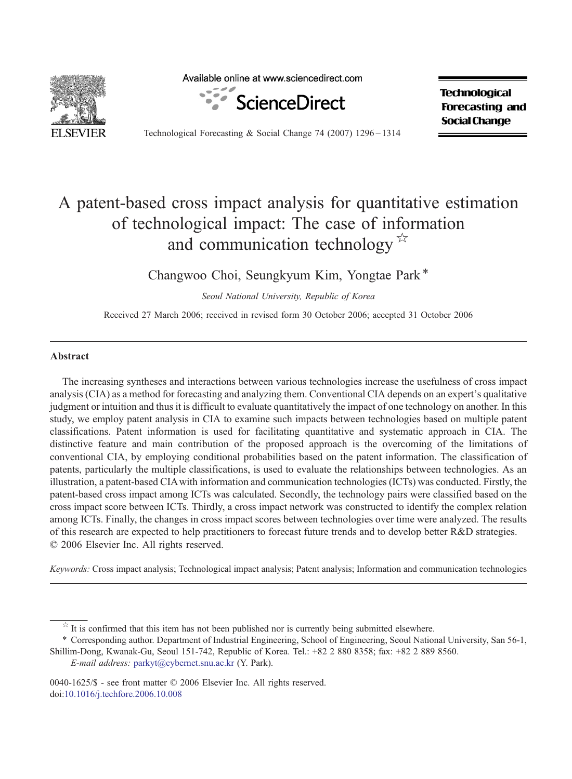

Available online at www.sciencedirect.com



**Technological Forecasting and Social Change** 

Technological Forecasting & Social Change 74 (2007) 1296–1314

# A patent-based cross impact analysis for quantitative estimation of technological impact: The case of information and communication technology  $\overline{x}$

Changwoo Choi, Seungkyum Kim, Yongtae Park<sup>\*</sup>

Seoul National University, Republic of Korea

Received 27 March 2006; received in revised form 30 October 2006; accepted 31 October 2006

#### Abstract

The increasing syntheses and interactions between various technologies increase the usefulness of cross impact analysis (CIA) as a method for forecasting and analyzing them. Conventional CIA depends on an expert's qualitative judgment or intuition and thus it is difficult to evaluate quantitatively the impact of one technology on another. In this study, we employ patent analysis in CIA to examine such impacts between technologies based on multiple patent classifications. Patent information is used for facilitating quantitative and systematic approach in CIA. The distinctive feature and main contribution of the proposed approach is the overcoming of the limitations of conventional CIA, by employing conditional probabilities based on the patent information. The classification of patents, particularly the multiple classifications, is used to evaluate the relationships between technologies. As an illustration, a patent-based CIAwith information and communication technologies (ICTs) was conducted. Firstly, the patent-based cross impact among ICTs was calculated. Secondly, the technology pairs were classified based on the cross impact score between ICTs. Thirdly, a cross impact network was constructed to identify the complex relation among ICTs. Finally, the changes in cross impact scores between technologies over time were analyzed. The results of this research are expected to help practitioners to forecast future trends and to develop better R&D strategies. © 2006 Elsevier Inc. All rights reserved.

Keywords: Cross impact analysis; Technological impact analysis; Patent analysis; Information and communication technologies

 $\overrightarrow{r}$  It is confirmed that this item has not been published nor is currently being submitted elsewhere.

<sup>⁎</sup> Corresponding author. Department of Industrial Engineering, School of Engineering, Seoul National University, San 56-1, Shillim-Dong, Kwanak-Gu, Seoul 151-742, Republic of Korea. Tel.: +82 2 880 8358; fax: +82 2 889 8560.

E-mail address: [parkyt@cybernet.snu.ac.kr](mailto:parkyt@cybernet.snu.ac.kr) (Y. Park).

<sup>0040-1625/\$ -</sup> see front matter © 2006 Elsevier Inc. All rights reserved. doi[:10.1016/j.techfore.2006.10.008](http://dx.doi.org/10.1016/j.techfore.2006.10.008)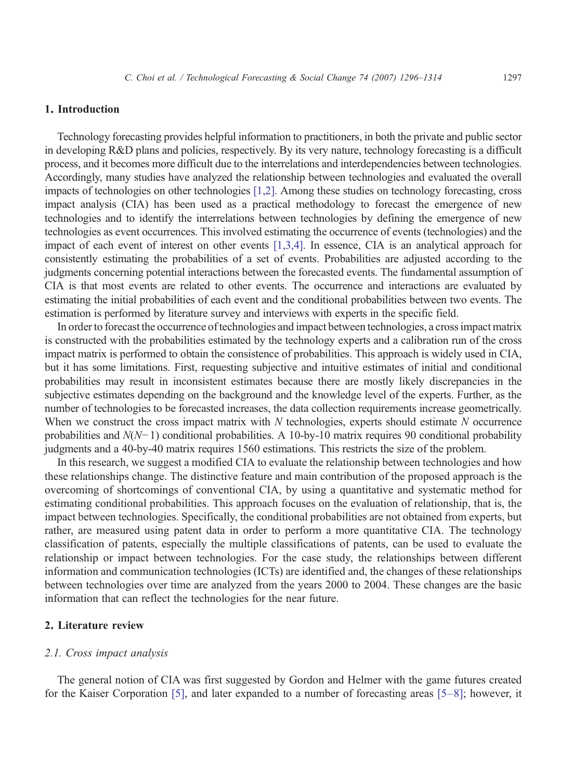### 1. Introduction

Technology forecasting provides helpful information to practitioners, in both the private and public sector in developing R&D plans and policies, respectively. By its very nature, technology forecasting is a difficult process, and it becomes more difficult due to the interrelations and interdependencies between technologies. Accordingly, many studies have analyzed the relationship between technologies and evaluated the overall impacts of technologies on other technologies [\[1,2\]](#page--1-0). Among these studies on technology forecasting, cross impact analysis (CIA) has been used as a practical methodology to forecast the emergence of new technologies and to identify the interrelations between technologies by defining the emergence of new technologies as event occurrences. This involved estimating the occurrence of events (technologies) and the impact of each event of interest on other events [\[1,3,4\].](#page--1-0) In essence, CIA is an analytical approach for consistently estimating the probabilities of a set of events. Probabilities are adjusted according to the judgments concerning potential interactions between the forecasted events. The fundamental assumption of CIA is that most events are related to other events. The occurrence and interactions are evaluated by estimating the initial probabilities of each event and the conditional probabilities between two events. The estimation is performed by literature survey and interviews with experts in the specific field.

In order to forecast the occurrence of technologies and impact between technologies, a cross impact matrix is constructed with the probabilities estimated by the technology experts and a calibration run of the cross impact matrix is performed to obtain the consistence of probabilities. This approach is widely used in CIA, but it has some limitations. First, requesting subjective and intuitive estimates of initial and conditional probabilities may result in inconsistent estimates because there are mostly likely discrepancies in the subjective estimates depending on the background and the knowledge level of the experts. Further, as the number of technologies to be forecasted increases, the data collection requirements increase geometrically. When we construct the cross impact matrix with  $N$  technologies, experts should estimate  $N$  occurrence probabilities and N(N−1) conditional probabilities. A 10-by-10 matrix requires 90 conditional probability judgments and a 40-by-40 matrix requires 1560 estimations. This restricts the size of the problem.

In this research, we suggest a modified CIA to evaluate the relationship between technologies and how these relationships change. The distinctive feature and main contribution of the proposed approach is the overcoming of shortcomings of conventional CIA, by using a quantitative and systematic method for estimating conditional probabilities. This approach focuses on the evaluation of relationship, that is, the impact between technologies. Specifically, the conditional probabilities are not obtained from experts, but rather, are measured using patent data in order to perform a more quantitative CIA. The technology classification of patents, especially the multiple classifications of patents, can be used to evaluate the relationship or impact between technologies. For the case study, the relationships between different information and communication technologies (ICTs) are identified and, the changes of these relationships between technologies over time are analyzed from the years 2000 to 2004. These changes are the basic information that can reflect the technologies for the near future.

#### 2. Literature review

#### 2.1. Cross impact analysis

The general notion of CIA was first suggested by Gordon and Helmer with the game futures created for the Kaiser Corporation [\[5\],](#page--1-0) and later expanded to a number of forecasting areas [5–[8\];](#page--1-0) however, it